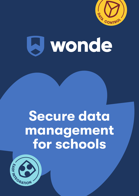

# **A** wonde

## Secure data management for schools

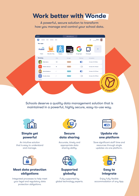## Work better with Wonde

A powerful, secure solution to transform how you manage and control your school data.

| $\bullet\bullet\bullet$                            |           | edu.wonde.com                     |                |                                      |
|----------------------------------------------------|-----------|-----------------------------------|----------------|--------------------------------------|
| Ы                                                  |           |                                   |                | James<br>$\vec{Q}$<br>Furlong School |
| <b>Your apps</b>                                   |           |                                   |                |                                      |
| JZ.<br>70<br><b>Pobble</b><br><b>EducationCity</b> |           | purple<br>mash<br><b>O</b> simple | C              | <b>9</b> Pending                     |
| Pobble<br><b>Education City</b>                    | Hegarty   | Purple Mash                       | Google Sync    | Primarysite                          |
| <b>Directory</b>                                   | Class     | User type                         | Data Sync      | Last updated                         |
| <b>Chris Aaron</b>                                 | 10B       | Student                           | $\bullet$      | October 19, 11:17am                  |
| <b>Patrick Jameson</b><br><b>PJ</b>                | <b>7A</b> | Student                           | (x)            | October 18, 10:42am                  |
| <b>Rachel Anderson</b>                             | 7         | Teacher                           | $\circledcirc$ | October 19, 07:34am                  |
| <b>Coraline Quinn</b><br>CQ                        | 7         | Teacher                           | (x)            | October 18, 07:55am                  |
|                                                    |           |                                   |                |                                      |
|                                                    |           |                                   |                |                                      |
|                                                    |           |                                   |                | DATA                                 |
|                                                    |           |                                   |                |                                      |

Schools deserve a quality data management solution that is maintained in a powerful, highly secure, easy-to-use way.



## Simple yet powerful

An intuitive solution that is easy to understand and manage.



## Meet data protection obligations

Integrated processes to help meet your legal and regulatory data protection obligations.



#### Secure data sharing

Accurate, timely and appropriate data sharing ability.





Fully supported by global technology experts.



## Update via one platform

Save significant staff time and resources through single updates via one platform.



## Easy to integrate

Enjoy fully flexible accommodation of any App.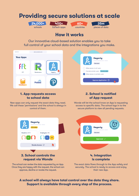## Providing secure solutions at scale







## How it works

Our innovative cloud-based solution enables you to take full control of your school data and the integrations you make.





## 1. App requests access to school data

New apps can only request the exact data they need. We call these 'permissions' and the school is always in control of them.

## 2. School is notified of App request

Wonde will let the school know an App is requesting access to specific data. The school logs in to the secure platform to view all pending requests.



## request via Wonde

The school can review the data requested by an App. Once they are happy with the request, the school can approve, decline or revoke the request.



## 4. Integration is complete

The exact data flows through to the App safely and securely. The school is ready to access and enjoy their new App.

A school will always have total control over the data they share. Support is available through every step of the process.